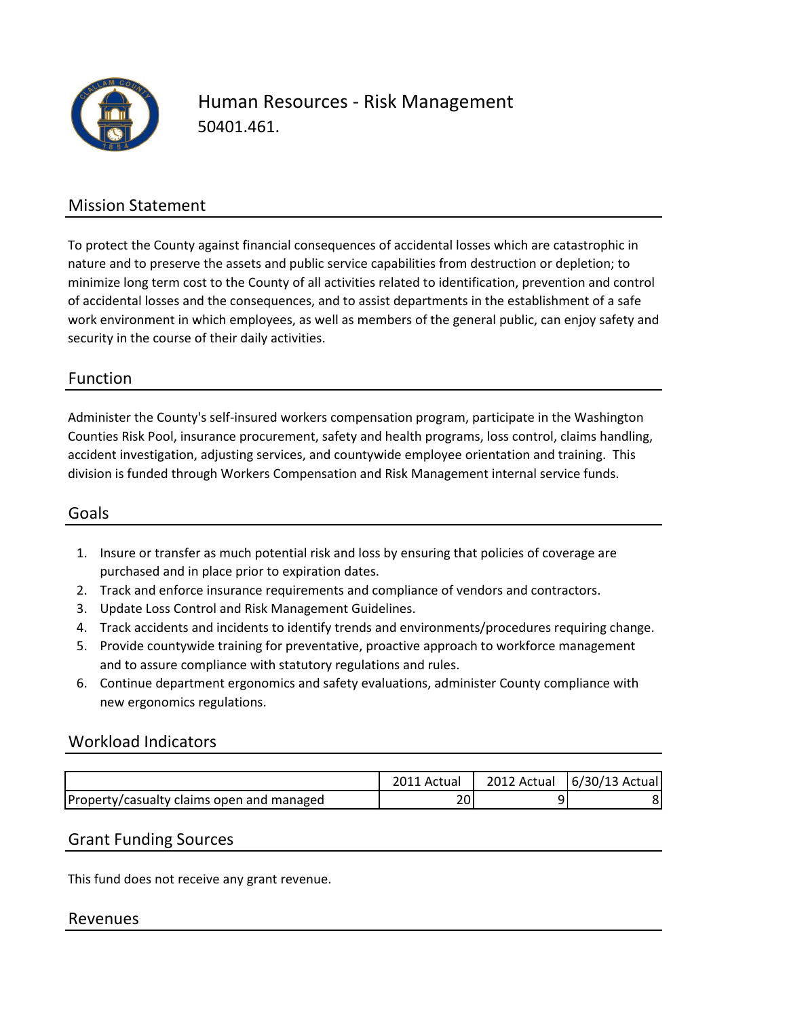

### Human Resources - Risk Management 50401.461.

#### Mission Statement

To protect the County against financial consequences of accidental losses which are catastrophic in nature and to preserve the assets and public service capabilities from destruction or depletion; to minimize long term cost to the County of all activities related to identification, prevention and control of accidental losses and the consequences, and to assist departments in the establishment of a safe work environment in which employees, as well as members of the general public, can enjoy safety and security in the course of their daily activities.

#### Function

Administer the County's self-insured workers compensation program, participate in the Washington Counties Risk Pool, insurance procurement, safety and health programs, loss control, claims handling, accident investigation, adjusting services, and countywide employee orientation and training. This division is funded through Workers Compensation and Risk Management internal service funds.

#### Goals

- 1. Insure or transfer as much potential risk and loss by ensuring that policies of coverage are purchased and in place prior to expiration dates.
- 2. Track and enforce insurance requirements and compliance of vendors and contractors.
- 3. Update Loss Control and Risk Management Guidelines.
- 4. Track accidents and incidents to identify trends and environments/procedures requiring change.
- 5. Provide countywide training for preventative, proactive approach to workforce management and to assure compliance with statutory regulations and rules.
- 6. Continue department ergonomics and safety evaluations, administer County compliance with new ergonomics regulations.

#### Workload Indicators

|                                           | 2011 Actual | 2012 Actual | 6/30/13 Actual |
|-------------------------------------------|-------------|-------------|----------------|
| Property/casualty claims open and managed | 201         |             |                |

#### Grant Funding Sources

This fund does not receive any grant revenue.

#### Revenues